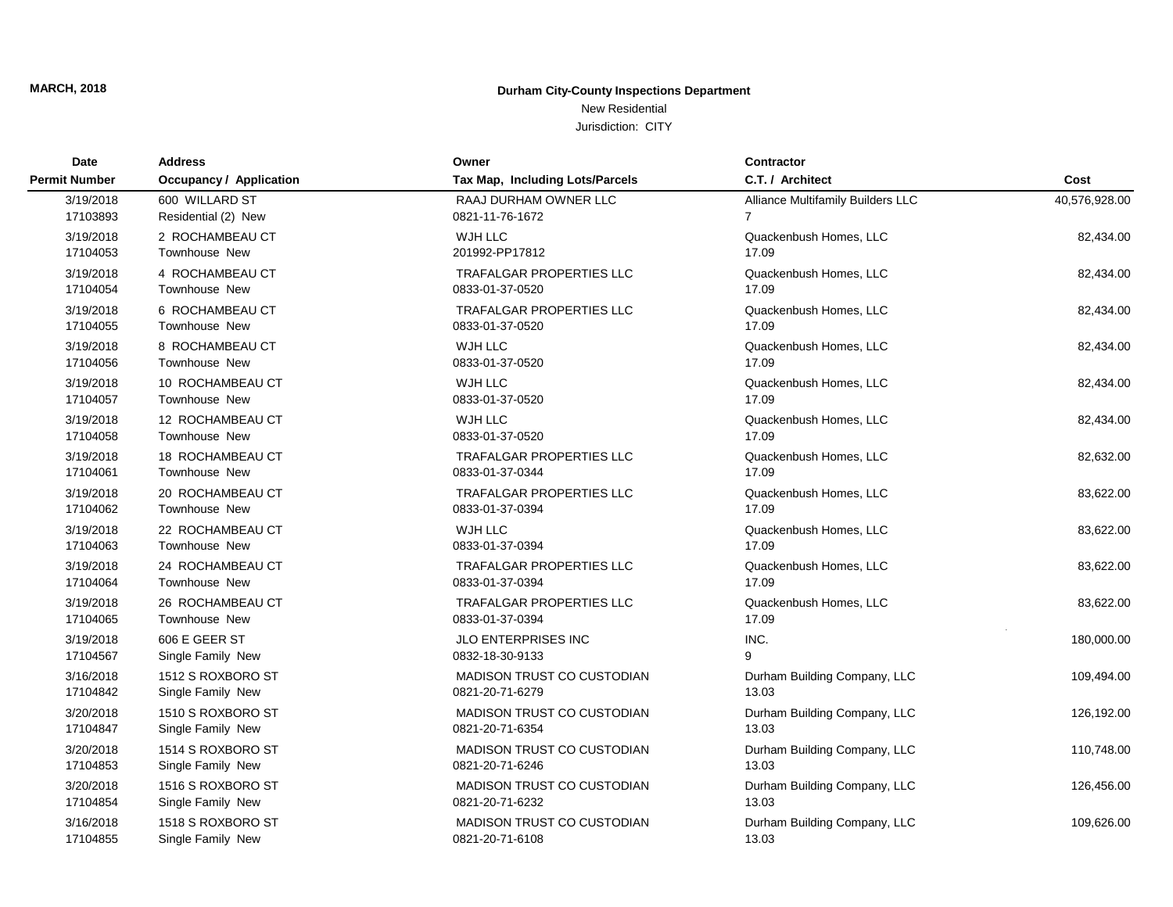### New Residential

| Date                 | <b>Address</b>                 | Owner                             | <b>Contractor</b>                 |               |
|----------------------|--------------------------------|-----------------------------------|-----------------------------------|---------------|
| <b>Permit Number</b> | <b>Occupancy / Application</b> | Tax Map, Including Lots/Parcels   | C.T. / Architect                  | Cost          |
| 3/19/2018            | 600 WILLARD ST                 | RAAJ DURHAM OWNER LLC             | Alliance Multifamily Builders LLC | 40,576,928.00 |
| 17103893             | Residential (2) New            | 0821-11-76-1672                   | 7                                 |               |
| 3/19/2018            | 2 ROCHAMBEAU CT                | WJH LLC                           | Quackenbush Homes, LLC            | 82,434.00     |
| 17104053             | <b>Townhouse New</b>           | 201992-PP17812                    | 17.09                             |               |
| 3/19/2018            | 4 ROCHAMBEAU CT                | <b>TRAFALGAR PROPERTIES LLC</b>   | Quackenbush Homes, LLC            | 82,434.00     |
| 17104054             | <b>Townhouse New</b>           | 0833-01-37-0520                   | 17.09                             |               |
| 3/19/2018            | 6 ROCHAMBEAU CT                | <b>TRAFALGAR PROPERTIES LLC</b>   | Quackenbush Homes, LLC            | 82,434.00     |
| 17104055             | <b>Townhouse New</b>           | 0833-01-37-0520                   | 17.09                             |               |
| 3/19/2018            | 8 ROCHAMBEAU CT                | WJH LLC                           | Quackenbush Homes, LLC            | 82,434.00     |
| 17104056             | <b>Townhouse New</b>           | 0833-01-37-0520                   | 17.09                             |               |
| 3/19/2018            | 10 ROCHAMBEAU CT               | WJH LLC                           | Quackenbush Homes, LLC            | 82,434.00     |
| 17104057             | <b>Townhouse New</b>           | 0833-01-37-0520                   | 17.09                             |               |
| 3/19/2018            | 12 ROCHAMBEAU CT               | WJH LLC                           | Quackenbush Homes, LLC            | 82,434.00     |
| 17104058             | <b>Townhouse New</b>           | 0833-01-37-0520                   | 17.09                             |               |
| 3/19/2018            | 18 ROCHAMBEAU CT               | <b>TRAFALGAR PROPERTIES LLC</b>   | Quackenbush Homes, LLC            | 82,632.00     |
| 17104061             | <b>Townhouse New</b>           | 0833-01-37-0344                   | 17.09                             |               |
| 3/19/2018            | 20 ROCHAMBEAU CT               | <b>TRAFALGAR PROPERTIES LLC</b>   | Quackenbush Homes, LLC            | 83,622.00     |
| 17104062             | <b>Townhouse New</b>           | 0833-01-37-0394                   | 17.09                             |               |
| 3/19/2018            | 22 ROCHAMBEAU CT               | WJH LLC                           | Quackenbush Homes, LLC            | 83,622.00     |
| 17104063             | <b>Townhouse New</b>           | 0833-01-37-0394                   | 17.09                             |               |
| 3/19/2018            | 24 ROCHAMBEAU CT               | <b>TRAFALGAR PROPERTIES LLC</b>   | Quackenbush Homes, LLC            | 83,622.00     |
| 17104064             | <b>Townhouse New</b>           | 0833-01-37-0394                   | 17.09                             |               |
| 3/19/2018            | 26 ROCHAMBEAU CT               | <b>TRAFALGAR PROPERTIES LLC</b>   | Quackenbush Homes, LLC            | 83,622.00     |
| 17104065             | <b>Townhouse New</b>           | 0833-01-37-0394                   | 17.09                             |               |
| 3/19/2018            | 606 E GEER ST                  | <b>JLO ENTERPRISES INC</b>        | INC.                              | 180,000.00    |
| 17104567             | Single Family New              | 0832-18-30-9133                   | 9                                 |               |
| 3/16/2018            | 1512 S ROXBORO ST              | <b>MADISON TRUST CO CUSTODIAN</b> | Durham Building Company, LLC      | 109,494.00    |
| 17104842             | Single Family New              | 0821-20-71-6279                   | 13.03                             |               |
| 3/20/2018            | 1510 S ROXBORO ST              | MADISON TRUST CO CUSTODIAN        | Durham Building Company, LLC      | 126,192.00    |
| 17104847             | Single Family New              | 0821-20-71-6354                   | 13.03                             |               |
| 3/20/2018            | 1514 S ROXBORO ST              | MADISON TRUST CO CUSTODIAN        | Durham Building Company, LLC      | 110,748.00    |
| 17104853             | Single Family New              | 0821-20-71-6246                   | 13.03                             |               |
| 3/20/2018            | 1516 S ROXBORO ST              | <b>MADISON TRUST CO CUSTODIAN</b> | Durham Building Company, LLC      | 126,456.00    |
| 17104854             | Single Family New              | 0821-20-71-6232                   | 13.03                             |               |
| 3/16/2018            | 1518 S ROXBORO ST              | <b>MADISON TRUST CO CUSTODIAN</b> | Durham Building Company, LLC      | 109,626.00    |
| 17104855             | Single Family New              | 0821-20-71-6108                   | 13.03                             |               |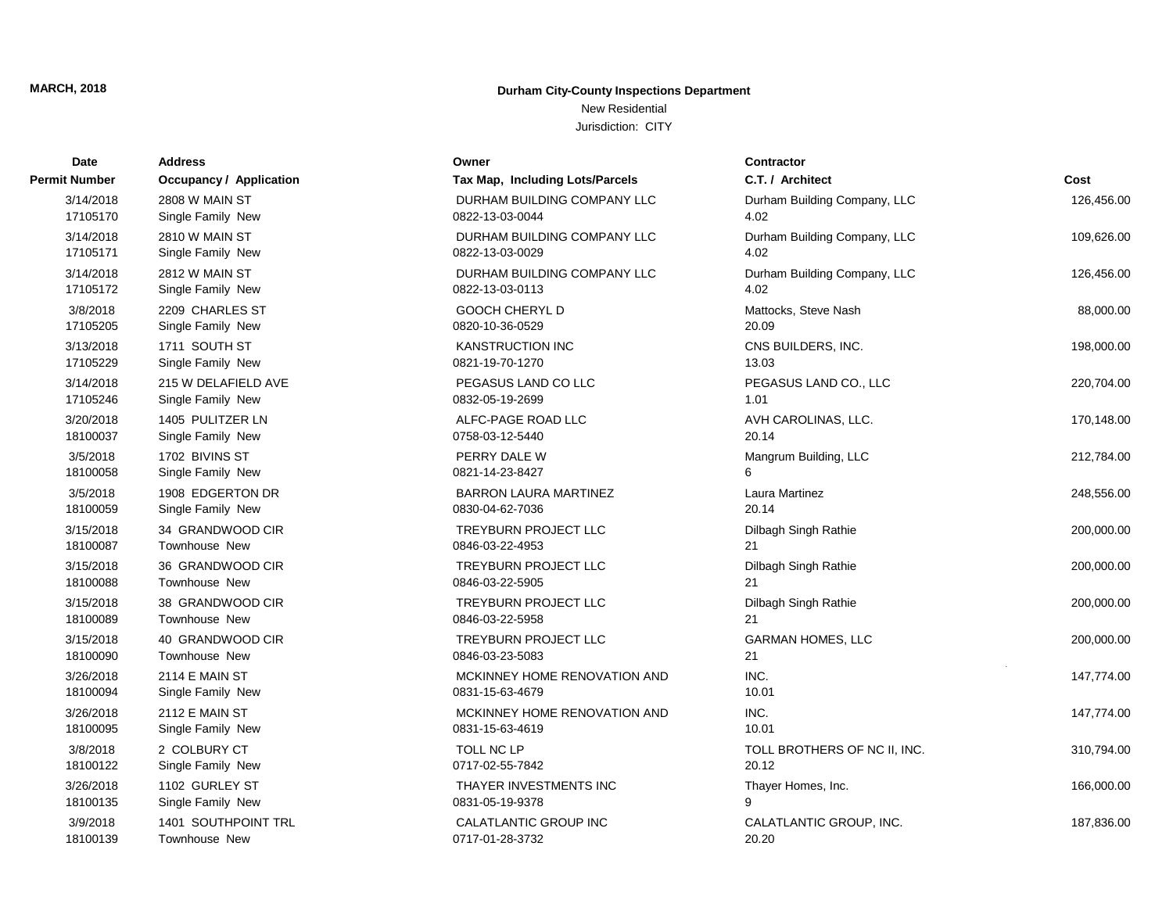# New Residential

| Date          | <b>Address</b>          | Owner                           | <b>Contractor</b>            |            |
|---------------|-------------------------|---------------------------------|------------------------------|------------|
| Permit Number | Occupancy / Application | Tax Map, Including Lots/Parcels | C.T. / Architect             | Cost       |
| 3/14/2018     | 2808 W MAIN ST          | DURHAM BUILDING COMPANY LLC     | Durham Building Company, LLC | 126,456.00 |
| 17105170      | Single Family New       | 0822-13-03-0044                 | 4.02                         |            |
| 3/14/2018     | <b>2810 W MAIN ST</b>   | DURHAM BUILDING COMPANY LLC     | Durham Building Company, LLC | 109,626.00 |
| 17105171      | Single Family New       | 0822-13-03-0029                 | 4.02                         |            |
| 3/14/2018     | 2812 W MAIN ST          | DURHAM BUILDING COMPANY LLC     | Durham Building Company, LLC | 126,456.00 |
| 17105172      | Single Family New       | 0822-13-03-0113                 | 4.02                         |            |
| 3/8/2018      | 2209 CHARLES ST         | <b>GOOCH CHERYL D</b>           | Mattocks, Steve Nash         | 88,000.00  |
| 17105205      | Single Family New       | 0820-10-36-0529                 | 20.09                        |            |
| 3/13/2018     | 1711 SOUTH ST           | <b>KANSTRUCTION INC</b>         | CNS BUILDERS, INC.           | 198,000.00 |
| 17105229      | Single Family New       | 0821-19-70-1270                 | 13.03                        |            |
| 3/14/2018     | 215 W DELAFIELD AVE     | PEGASUS LAND CO LLC             | PEGASUS LAND CO., LLC        | 220,704.00 |
| 17105246      | Single Family New       | 0832-05-19-2699                 | 1.01                         |            |
| 3/20/2018     | 1405 PULITZER LN        | ALFC-PAGE ROAD LLC              | AVH CAROLINAS, LLC.          | 170,148.00 |
| 18100037      | Single Family New       | 0758-03-12-5440                 | 20.14                        |            |
| 3/5/2018      | 1702 BIVINS ST          | PERRY DALE W                    | Mangrum Building, LLC        | 212,784.00 |
| 18100058      | Single Family New       | 0821-14-23-8427                 | 6                            |            |
| 3/5/2018      | 1908 EDGERTON DR        | <b>BARRON LAURA MARTINEZ</b>    | <b>Laura Martinez</b>        | 248,556.00 |
| 18100059      | Single Family New       | 0830-04-62-7036                 | 20.14                        |            |
| 3/15/2018     | 34 GRANDWOOD CIR        | TREYBURN PROJECT LLC            | Dilbagh Singh Rathie         | 200,000.00 |
| 18100087      | Townhouse New           | 0846-03-22-4953                 | 21                           |            |
| 3/15/2018     | 36 GRANDWOOD CIR        | <b>TREYBURN PROJECT LLC</b>     | Dilbagh Singh Rathie         | 200,000.00 |
| 18100088      | Townhouse New           | 0846-03-22-5905                 | 21                           |            |
| 3/15/2018     | 38 GRANDWOOD CIR        | TREYBURN PROJECT LLC            | Dilbagh Singh Rathie         | 200,000.00 |
| 18100089      | Townhouse New           | 0846-03-22-5958                 | 21                           |            |
| 3/15/2018     | 40 GRANDWOOD CIR        | TREYBURN PROJECT LLC            | <b>GARMAN HOMES, LLC</b>     | 200,000.00 |
| 18100090      | Townhouse New           | 0846-03-23-5083                 | 21                           |            |
| 3/26/2018     | 2114 E MAIN ST          | MCKINNEY HOME RENOVATION AND    | INC.                         | 147,774.00 |
| 18100094      | Single Family New       | 0831-15-63-4679                 | 10.01                        |            |
| 3/26/2018     | <b>2112 E MAIN ST</b>   | MCKINNEY HOME RENOVATION AND    | INC.                         | 147,774.00 |
| 18100095      | Single Family New       | 0831-15-63-4619                 | 10.01                        |            |
| 3/8/2018      | 2 COLBURY CT            | TOLL NC LP                      | TOLL BROTHERS OF NC II, INC. | 310,794.00 |
| 18100122      | Single Family New       | 0717-02-55-7842                 | 20.12                        |            |
| 3/26/2018     | 1102 GURLEY ST          | THAYER INVESTMENTS INC          | Thayer Homes, Inc.           | 166,000.00 |
| 18100135      | Single Family New       | 0831-05-19-9378                 | 9                            |            |
| 3/9/2018      | 1401 SOUTHPOINT TRL     | CALATLANTIC GROUP INC           | CALATLANTIC GROUP, INC.      | 187,836.00 |
| 18100139      | <b>Townhouse New</b>    | 0717-01-28-3732                 | 20.20                        |            |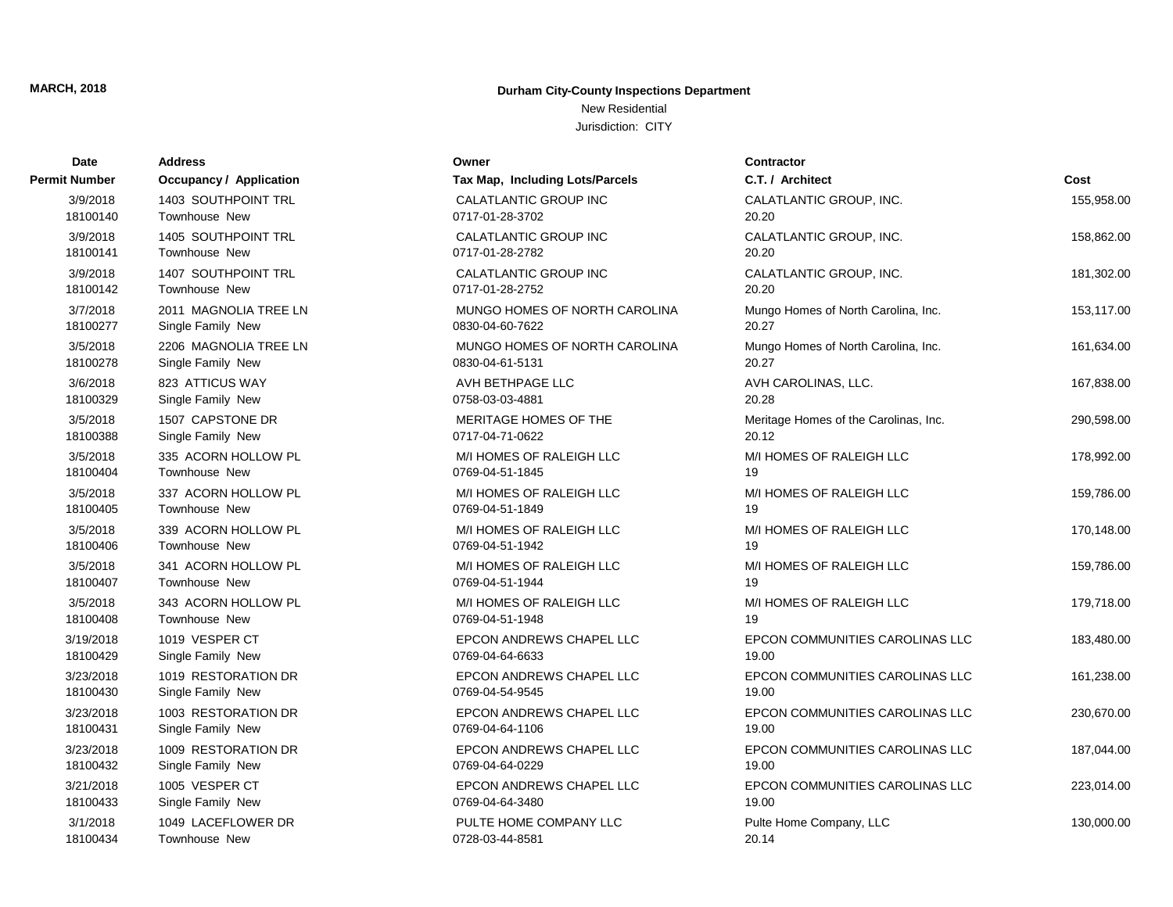# New Residential

| Date          | <b>Address</b>                 | Owner                           | <b>Contractor</b>                     |            |
|---------------|--------------------------------|---------------------------------|---------------------------------------|------------|
| Permit Number | <b>Occupancy / Application</b> | Tax Map, Including Lots/Parcels | C.T. / Architect                      | Cost       |
| 3/9/2018      | 1403 SOUTHPOINT TRL            | CALATLANTIC GROUP INC           | CALATLANTIC GROUP, INC.               | 155,958.00 |
| 18100140      | <b>Townhouse New</b>           | 0717-01-28-3702                 | 20.20                                 |            |
| 3/9/2018      | 1405 SOUTHPOINT TRL            | CALATLANTIC GROUP INC           | CALATLANTIC GROUP, INC.               | 158,862.00 |
| 18100141      | <b>Townhouse New</b>           | 0717-01-28-2782                 | 20.20                                 |            |
| 3/9/2018      | 1407 SOUTHPOINT TRL            | CALATLANTIC GROUP INC           | CALATLANTIC GROUP, INC.               | 181,302.00 |
| 18100142      | Townhouse New                  | 0717-01-28-2752                 | 20.20                                 |            |
| 3/7/2018      | 2011 MAGNOLIA TREE LN          | MUNGO HOMES OF NORTH CAROLINA   | Mungo Homes of North Carolina, Inc.   | 153,117.00 |
| 18100277      | Single Family New              | 0830-04-60-7622                 | 20.27                                 |            |
| 3/5/2018      | 2206 MAGNOLIA TREE LN          | MUNGO HOMES OF NORTH CAROLINA   | Mungo Homes of North Carolina, Inc.   | 161,634.00 |
| 18100278      | Single Family New              | 0830-04-61-5131                 | 20.27                                 |            |
| 3/6/2018      | 823 ATTICUS WAY                | AVH BETHPAGE LLC                | AVH CAROLINAS, LLC.                   | 167,838.00 |
| 18100329      | Single Family New              | 0758-03-03-4881                 | 20.28                                 |            |
| 3/5/2018      | 1507 CAPSTONE DR               | MERITAGE HOMES OF THE           | Meritage Homes of the Carolinas, Inc. | 290,598.00 |
| 18100388      | Single Family New              | 0717-04-71-0622                 | 20.12                                 |            |
| 3/5/2018      | 335 ACORN HOLLOW PL            | M/I HOMES OF RALEIGH LLC        | M/I HOMES OF RALEIGH LLC              | 178,992.00 |
| 18100404      | <b>Townhouse New</b>           | 0769-04-51-1845                 | 19                                    |            |
| 3/5/2018      | 337 ACORN HOLLOW PL            | M/I HOMES OF RALEIGH LLC        | M/I HOMES OF RALEIGH LLC              | 159,786.00 |
| 18100405      | <b>Townhouse New</b>           | 0769-04-51-1849                 | 19                                    |            |
| 3/5/2018      | 339 ACORN HOLLOW PL            | M/I HOMES OF RALEIGH LLC        | M/I HOMES OF RALEIGH LLC              | 170,148.00 |
| 18100406      | Townhouse New                  | 0769-04-51-1942                 | 19                                    |            |
| 3/5/2018      | 341 ACORN HOLLOW PL            | M/I HOMES OF RALEIGH LLC        | M/I HOMES OF RALEIGH LLC              | 159,786.00 |
| 18100407      | Townhouse New                  | 0769-04-51-1944                 | 19                                    |            |
| 3/5/2018      | 343 ACORN HOLLOW PL            | M/I HOMES OF RALEIGH LLC        | M/I HOMES OF RALEIGH LLC              | 179,718.00 |
| 18100408      | Townhouse New                  | 0769-04-51-1948                 | 19                                    |            |
| 3/19/2018     | 1019 VESPER CT                 | EPCON ANDREWS CHAPEL LLC        | EPCON COMMUNITIES CAROLINAS LLC       | 183,480.00 |
| 18100429      | Single Family New              | 0769-04-64-6633                 | 19.00                                 |            |
| 3/23/2018     | 1019 RESTORATION DR            | EPCON ANDREWS CHAPEL LLC        | EPCON COMMUNITIES CAROLINAS LLC       | 161,238.00 |
| 18100430      | Single Family New              | 0769-04-54-9545                 | 19.00                                 |            |
| 3/23/2018     | 1003 RESTORATION DR            | EPCON ANDREWS CHAPEL LLC        | EPCON COMMUNITIES CAROLINAS LLC       | 230,670.00 |
| 18100431      | Single Family New              | 0769-04-64-1106                 | 19.00                                 |            |
| 3/23/2018     | 1009 RESTORATION DR            | EPCON ANDREWS CHAPEL LLC        | EPCON COMMUNITIES CAROLINAS LLC       | 187,044.00 |
| 18100432      | Single Family New              | 0769-04-64-0229                 | 19.00                                 |            |
| 3/21/2018     | 1005 VESPER CT                 | EPCON ANDREWS CHAPEL LLC        | EPCON COMMUNITIES CAROLINAS LLC       | 223,014.00 |
| 18100433      | Single Family New              | 0769-04-64-3480                 | 19.00                                 |            |
| 3/1/2018      | 1049 LACEFLOWER DR             | PULTE HOME COMPANY LLC          | Pulte Home Company, LLC               | 130,000.00 |
| 18100434      | Townhouse New                  | 0728-03-44-8581                 | 20.14                                 |            |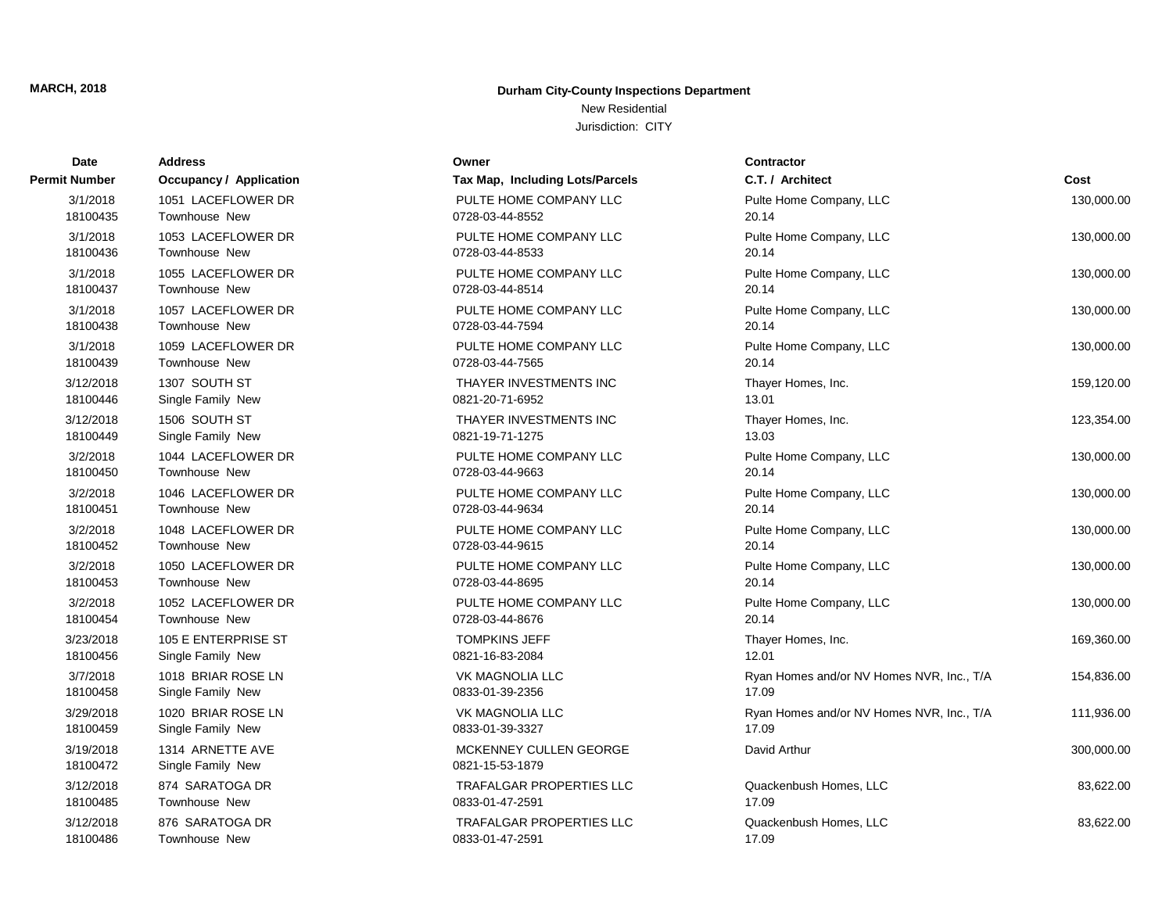# New Residential

| <b>Date</b>           | Address                               | Owner                                     | <b>Contractor</b>                         |            |
|-----------------------|---------------------------------------|-------------------------------------------|-------------------------------------------|------------|
| Permit Number         | <b>Occupancy / Application</b>        | Tax Map, Including Lots/Parcels           | C.T. / Architect                          | Cost       |
| 3/1/2018              | 1051 LACEFLOWER DR                    | PULTE HOME COMPANY LLC                    | Pulte Home Company, LLC                   | 130,000.00 |
| 18100435              | Townhouse New                         | 0728-03-44-8552                           | 20.14                                     |            |
| 3/1/2018              | 1053 LACEFLOWER DR                    | PULTE HOME COMPANY LLC                    | Pulte Home Company, LLC                   | 130,000.00 |
| 18100436              | Townhouse New                         | 0728-03-44-8533                           | 20.14                                     |            |
| 3/1/2018              | 1055 LACEFLOWER DR                    | PULTE HOME COMPANY LLC                    | Pulte Home Company, LLC                   | 130,000.00 |
| 18100437              | Townhouse New                         | 0728-03-44-8514                           | 20.14                                     |            |
| 3/1/2018              | 1057 LACEFLOWER DR                    | PULTE HOME COMPANY LLC                    | Pulte Home Company, LLC                   | 130,000.00 |
| 18100438              | Townhouse New                         | 0728-03-44-7594                           | 20.14                                     |            |
| 3/1/2018              | 1059 LACEFLOWER DR                    | PULTE HOME COMPANY LLC                    | Pulte Home Company, LLC                   | 130,000.00 |
| 18100439              | Townhouse New                         | 0728-03-44-7565                           | 20.14                                     |            |
| 3/12/2018             | 1307 SOUTH ST                         | THAYER INVESTMENTS INC                    | Thayer Homes, Inc.                        | 159,120.00 |
| 18100446              | Single Family New                     | 0821-20-71-6952                           | 13.01                                     |            |
| 3/12/2018             | 1506 SOUTH ST                         | THAYER INVESTMENTS INC                    | Thayer Homes, Inc.                        | 123,354.00 |
| 18100449              | Single Family New                     | 0821-19-71-1275                           | 13.03                                     |            |
| 3/2/2018              | 1044 LACEFLOWER DR                    | PULTE HOME COMPANY LLC                    | Pulte Home Company, LLC                   | 130,000.00 |
| 18100450              | Townhouse New                         | 0728-03-44-9663                           | 20.14                                     |            |
| 3/2/2018              | 1046 LACEFLOWER DR                    | PULTE HOME COMPANY LLC                    | Pulte Home Company, LLC                   | 130,000.00 |
| 18100451              | Townhouse New                         | 0728-03-44-9634                           | 20.14                                     |            |
| 3/2/2018              | 1048 LACEFLOWER DR                    | PULTE HOME COMPANY LLC                    | Pulte Home Company, LLC                   | 130,000.00 |
| 18100452              | Townhouse New                         | 0728-03-44-9615                           | 20.14                                     |            |
| 3/2/2018              | 1050 LACEFLOWER DR                    | PULTE HOME COMPANY LLC                    | Pulte Home Company, LLC                   | 130,000.00 |
| 18100453              | Townhouse New                         | 0728-03-44-8695                           | 20.14                                     |            |
| 3/2/2018              | 1052 LACEFLOWER DR                    | PULTE HOME COMPANY LLC                    | Pulte Home Company, LLC                   | 130,000.00 |
| 18100454              | <b>Townhouse New</b>                  | 0728-03-44-8676                           | 20.14                                     |            |
| 3/23/2018             | 105 E ENTERPRISE ST                   | <b>TOMPKINS JEFF</b>                      | Thayer Homes, Inc.                        | 169,360.00 |
| 18100456              | Single Family New                     | 0821-16-83-2084                           | 12.01                                     |            |
| 3/7/2018              | 1018 BRIAR ROSE LN                    | <b>VK MAGNOLIA LLC</b>                    | Ryan Homes and/or NV Homes NVR, Inc., T/A | 154,836.00 |
| 18100458              | Single Family New                     | 0833-01-39-2356                           | 17.09                                     |            |
| 3/29/2018             | 1020 BRIAR ROSE LN                    | <b>VK MAGNOLIA LLC</b>                    | Ryan Homes and/or NV Homes NVR, Inc., T/A | 111,936.00 |
| 18100459              | Single Family New                     | 0833-01-39-3327                           | 17.09                                     |            |
| 3/19/2018<br>18100472 | 1314 ARNETTE AVE<br>Single Family New | MCKENNEY CULLEN GEORGE<br>0821-15-53-1879 | David Arthur                              | 300,000.00 |
| 3/12/2018             | 874 SARATOGA DR                       | <b>TRAFALGAR PROPERTIES LLC</b>           | Quackenbush Homes, LLC                    | 83,622.00  |
| 18100485              | <b>Townhouse New</b>                  | 0833-01-47-2591                           | 17.09                                     |            |
| 3/12/2018             | 876 SARATOGA DR                       | <b>TRAFALGAR PROPERTIES LLC</b>           | Quackenbush Homes, LLC                    | 83,622.00  |
| 18100486              | Townhouse New                         | 0833-01-47-2591                           | 17.09                                     |            |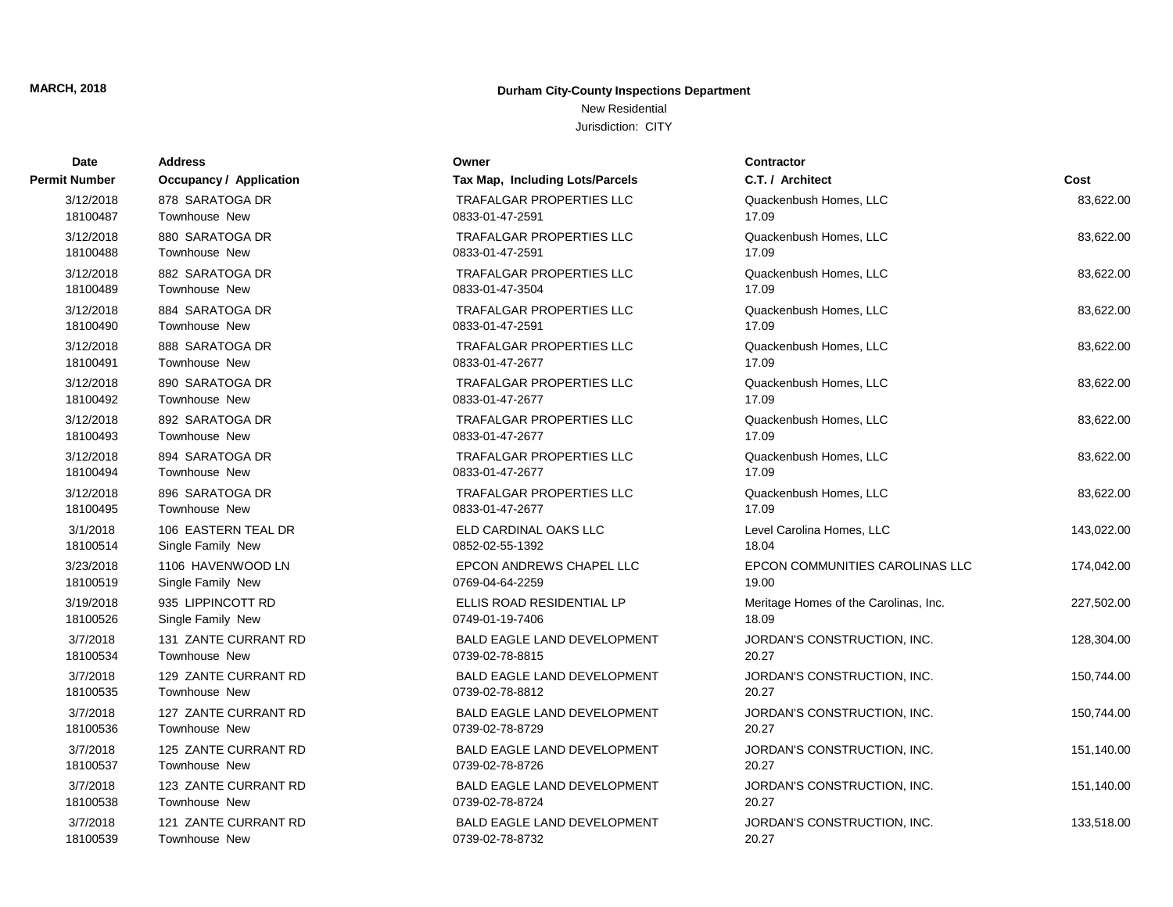# New Residential

| Date          | <b>Address</b>          | Owner                              | Contractor                            |            |
|---------------|-------------------------|------------------------------------|---------------------------------------|------------|
| Permit Number | Occupancy / Application | Tax Map, Including Lots/Parcels    | C.T. / Architect                      | Cost       |
| 3/12/2018     | 878 SARATOGA DR         | <b>TRAFALGAR PROPERTIES LLC</b>    | Quackenbush Homes, LLC                | 83,622.00  |
| 18100487      | Townhouse New           | 0833-01-47-2591                    | 17.09                                 |            |
| 3/12/2018     | 880 SARATOGA DR         | <b>TRAFALGAR PROPERTIES LLC</b>    | Quackenbush Homes, LLC                | 83,622.00  |
| 18100488      | <b>Townhouse New</b>    | 0833-01-47-2591                    | 17.09                                 |            |
| 3/12/2018     | 882 SARATOGA DR         | <b>TRAFALGAR PROPERTIES LLC</b>    | Quackenbush Homes, LLC                | 83,622.00  |
| 18100489      | Townhouse New           | 0833-01-47-3504                    | 17.09                                 |            |
| 3/12/2018     | 884 SARATOGA DR         | <b>TRAFALGAR PROPERTIES LLC</b>    | Quackenbush Homes, LLC                | 83,622.00  |
| 18100490      | <b>Townhouse New</b>    | 0833-01-47-2591                    | 17.09                                 |            |
| 3/12/2018     | 888 SARATOGA DR         | <b>TRAFALGAR PROPERTIES LLC</b>    | Quackenbush Homes, LLC                | 83,622.00  |
| 18100491      | <b>Townhouse New</b>    | 0833-01-47-2677                    | 17.09                                 |            |
| 3/12/2018     | 890 SARATOGA DR         | <b>TRAFALGAR PROPERTIES LLC</b>    | Quackenbush Homes, LLC                | 83,622.00  |
| 18100492      | <b>Townhouse New</b>    | 0833-01-47-2677                    | 17.09                                 |            |
| 3/12/2018     | 892 SARATOGA DR         | <b>TRAFALGAR PROPERTIES LLC</b>    | Quackenbush Homes, LLC                | 83,622.00  |
| 18100493      | Townhouse New           | 0833-01-47-2677                    | 17.09                                 |            |
| 3/12/2018     | 894 SARATOGA DR         | <b>TRAFALGAR PROPERTIES LLC</b>    | Quackenbush Homes, LLC                | 83,622.00  |
| 18100494      | Townhouse New           | 0833-01-47-2677                    | 17.09                                 |            |
| 3/12/2018     | 896 SARATOGA DR         | <b>TRAFALGAR PROPERTIES LLC</b>    | Quackenbush Homes, LLC                | 83,622.00  |
| 18100495      | <b>Townhouse New</b>    | 0833-01-47-2677                    | 17.09                                 |            |
| 3/1/2018      | 106 EASTERN TEAL DR     | ELD CARDINAL OAKS LLC              | Level Carolina Homes, LLC             | 143,022.00 |
| 18100514      | Single Family New       | 0852-02-55-1392                    | 18.04                                 |            |
| 3/23/2018     | 1106 HAVENWOOD LN       | EPCON ANDREWS CHAPEL LLC           | EPCON COMMUNITIES CAROLINAS LLC       | 174,042.00 |
| 18100519      | Single Family New       | 0769-04-64-2259                    | 19.00                                 |            |
| 3/19/2018     | 935 LIPPINCOTT RD       | ELLIS ROAD RESIDENTIAL LP          | Meritage Homes of the Carolinas, Inc. | 227,502.00 |
| 18100526      | Single Family New       | 0749-01-19-7406                    | 18.09                                 |            |
| 3/7/2018      | 131 ZANTE CURRANT RD    | <b>BALD EAGLE LAND DEVELOPMENT</b> | JORDAN'S CONSTRUCTION, INC.           | 128,304.00 |
| 18100534      | <b>Townhouse New</b>    | 0739-02-78-8815                    | 20.27                                 |            |
| 3/7/2018      | 129 ZANTE CURRANT RD    | <b>BALD EAGLE LAND DEVELOPMENT</b> | JORDAN'S CONSTRUCTION, INC.           | 150,744.00 |
| 18100535      | <b>Townhouse New</b>    | 0739-02-78-8812                    | 20.27                                 |            |
| 3/7/2018      | 127 ZANTE CURRANT RD    | <b>BALD EAGLE LAND DEVELOPMENT</b> | JORDAN'S CONSTRUCTION, INC.           | 150,744.00 |
| 18100536      | <b>Townhouse New</b>    | 0739-02-78-8729                    | 20.27                                 |            |
| 3/7/2018      | 125 ZANTE CURRANT RD    | <b>BALD EAGLE LAND DEVELOPMENT</b> | JORDAN'S CONSTRUCTION, INC.           | 151,140.00 |
| 18100537      | Townhouse New           | 0739-02-78-8726                    | 20.27                                 |            |
| 3/7/2018      | 123 ZANTE CURRANT RD    | <b>BALD EAGLE LAND DEVELOPMENT</b> | JORDAN'S CONSTRUCTION, INC.           | 151,140.00 |
| 18100538      | Townhouse New           | 0739-02-78-8724                    | 20.27                                 |            |
| 3/7/2018      | 121 ZANTE CURRANT RD    | <b>BALD EAGLE LAND DEVELOPMENT</b> | JORDAN'S CONSTRUCTION, INC.           | 133,518.00 |
| 18100539      | Townhouse New           | 0739-02-78-8732                    | 20.27                                 |            |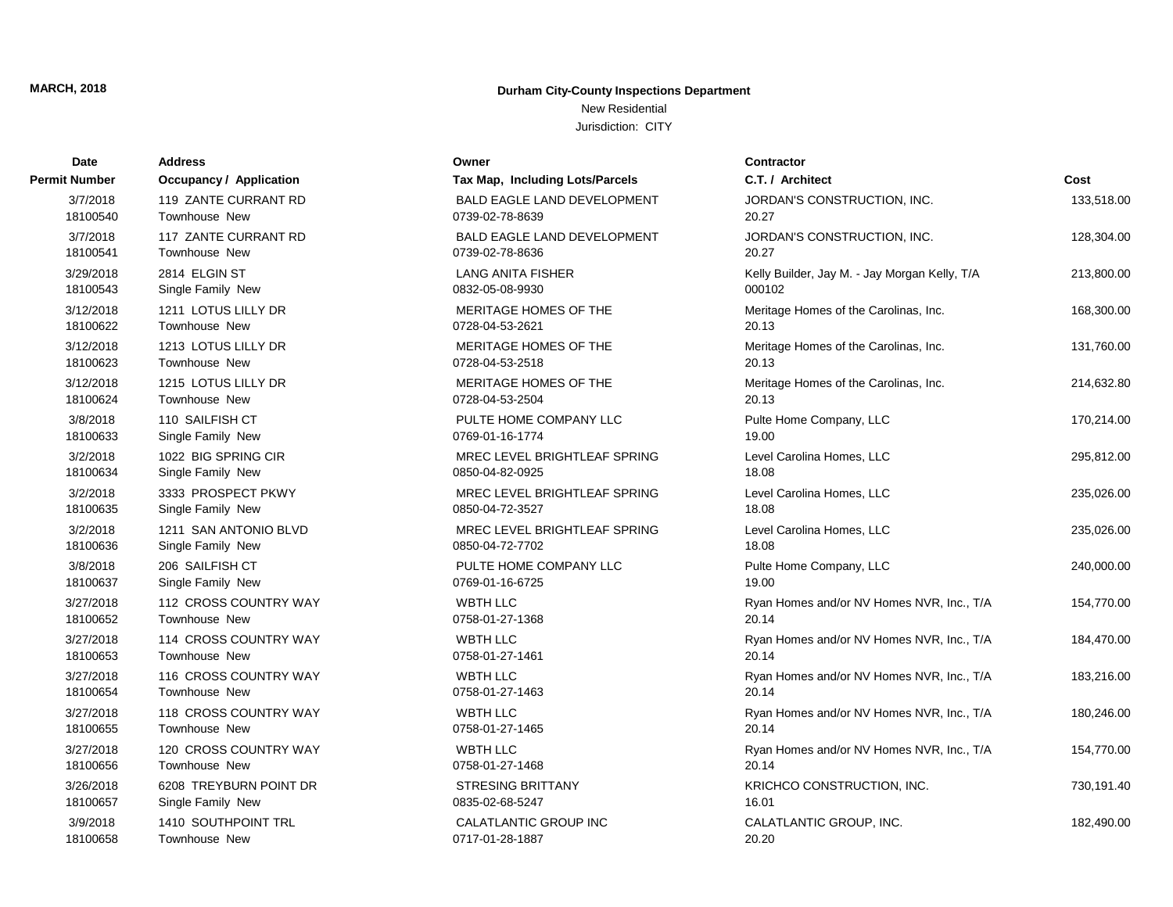# New Residential

| Date          | <b>Address</b>          | Owner                              | <b>Contractor</b>                             |            |
|---------------|-------------------------|------------------------------------|-----------------------------------------------|------------|
| Permit Number | Occupancy / Application | Tax Map, Including Lots/Parcels    | C.T. / Architect                              | Cost       |
| 3/7/2018      | 119 ZANTE CURRANT RD    | <b>BALD EAGLE LAND DEVELOPMENT</b> | JORDAN'S CONSTRUCTION, INC.                   | 133,518.00 |
| 18100540      | <b>Townhouse New</b>    | 0739-02-78-8639                    | 20.27                                         |            |
| 3/7/2018      | 117 ZANTE CURRANT RD    | <b>BALD EAGLE LAND DEVELOPMENT</b> | JORDAN'S CONSTRUCTION, INC.                   | 128,304.00 |
| 18100541      | Townhouse New           | 0739-02-78-8636                    | 20.27                                         |            |
| 3/29/2018     | 2814 ELGIN ST           | <b>LANG ANITA FISHER</b>           | Kelly Builder, Jay M. - Jay Morgan Kelly, T/A | 213,800.00 |
| 18100543      | Single Family New       | 0832-05-08-9930                    | 000102                                        |            |
| 3/12/2018     | 1211 LOTUS LILLY DR     | MERITAGE HOMES OF THE              | Meritage Homes of the Carolinas, Inc.         | 168,300.00 |
| 18100622      | Townhouse New           | 0728-04-53-2621                    | 20.13                                         |            |
| 3/12/2018     | 1213 LOTUS LILLY DR     | MERITAGE HOMES OF THE              | Meritage Homes of the Carolinas, Inc.         | 131,760.00 |
| 18100623      | Townhouse New           | 0728-04-53-2518                    | 20.13                                         |            |
| 3/12/2018     | 1215 LOTUS LILLY DR     | MERITAGE HOMES OF THE              | Meritage Homes of the Carolinas, Inc.         | 214,632.80 |
| 18100624      | Townhouse New           | 0728-04-53-2504                    | 20.13                                         |            |
| 3/8/2018      | 110 SAILFISH CT         | PULTE HOME COMPANY LLC             | Pulte Home Company, LLC                       | 170,214.00 |
| 18100633      | Single Family New       | 0769-01-16-1774                    | 19.00                                         |            |
| 3/2/2018      | 1022 BIG SPRING CIR     | MREC LEVEL BRIGHTLEAF SPRING       | Level Carolina Homes, LLC                     | 295,812.00 |
| 18100634      | Single Family New       | 0850-04-82-0925                    | 18.08                                         |            |
| 3/2/2018      | 3333 PROSPECT PKWY      | MREC LEVEL BRIGHTLEAF SPRING       | Level Carolina Homes, LLC                     | 235,026.00 |
| 18100635      | Single Family New       | 0850-04-72-3527                    | 18.08                                         |            |
| 3/2/2018      | 1211 SAN ANTONIO BLVD   | MREC LEVEL BRIGHTLEAF SPRING       | Level Carolina Homes, LLC                     | 235,026.00 |
| 18100636      | Single Family New       | 0850-04-72-7702                    | 18.08                                         |            |
| 3/8/2018      | 206 SAILFISH CT         | PULTE HOME COMPANY LLC             | Pulte Home Company, LLC                       | 240,000.00 |
| 18100637      | Single Family New       | 0769-01-16-6725                    | 19.00                                         |            |
| 3/27/2018     | 112 CROSS COUNTRY WAY   | <b>WBTH LLC</b>                    | Ryan Homes and/or NV Homes NVR, Inc., T/A     | 154,770.00 |
| 18100652      | Townhouse New           | 0758-01-27-1368                    | 20.14                                         |            |
| 3/27/2018     | 114 CROSS COUNTRY WAY   | <b>WBTH LLC</b>                    | Ryan Homes and/or NV Homes NVR, Inc., T/A     | 184,470.00 |
| 18100653      | Townhouse New           | 0758-01-27-1461                    | 20.14                                         |            |
| 3/27/2018     | 116 CROSS COUNTRY WAY   | <b>WBTH LLC</b>                    | Ryan Homes and/or NV Homes NVR, Inc., T/A     | 183,216.00 |
| 18100654      | Townhouse New           | 0758-01-27-1463                    | 20.14                                         |            |
| 3/27/2018     | 118 CROSS COUNTRY WAY   | <b>WBTH LLC</b>                    | Ryan Homes and/or NV Homes NVR, Inc., T/A     | 180,246.00 |
| 18100655      | Townhouse New           | 0758-01-27-1465                    | 20.14                                         |            |
| 3/27/2018     | 120 CROSS COUNTRY WAY   | <b>WBTH LLC</b>                    | Ryan Homes and/or NV Homes NVR, Inc., T/A     | 154,770.00 |
| 18100656      | <b>Townhouse New</b>    | 0758-01-27-1468                    | 20.14                                         |            |
| 3/26/2018     | 6208 TREYBURN POINT DR  | <b>STRESING BRITTANY</b>           | KRICHCO CONSTRUCTION, INC.                    | 730,191.40 |
| 18100657      | Single Family New       | 0835-02-68-5247                    | 16.01                                         |            |
| 3/9/2018      | 1410 SOUTHPOINT TRL     | <b>CALATLANTIC GROUP INC</b>       | CALATLANTIC GROUP, INC.                       | 182,490.00 |
| 18100658      | Townhouse New           | 0717-01-28-1887                    | 20.20                                         |            |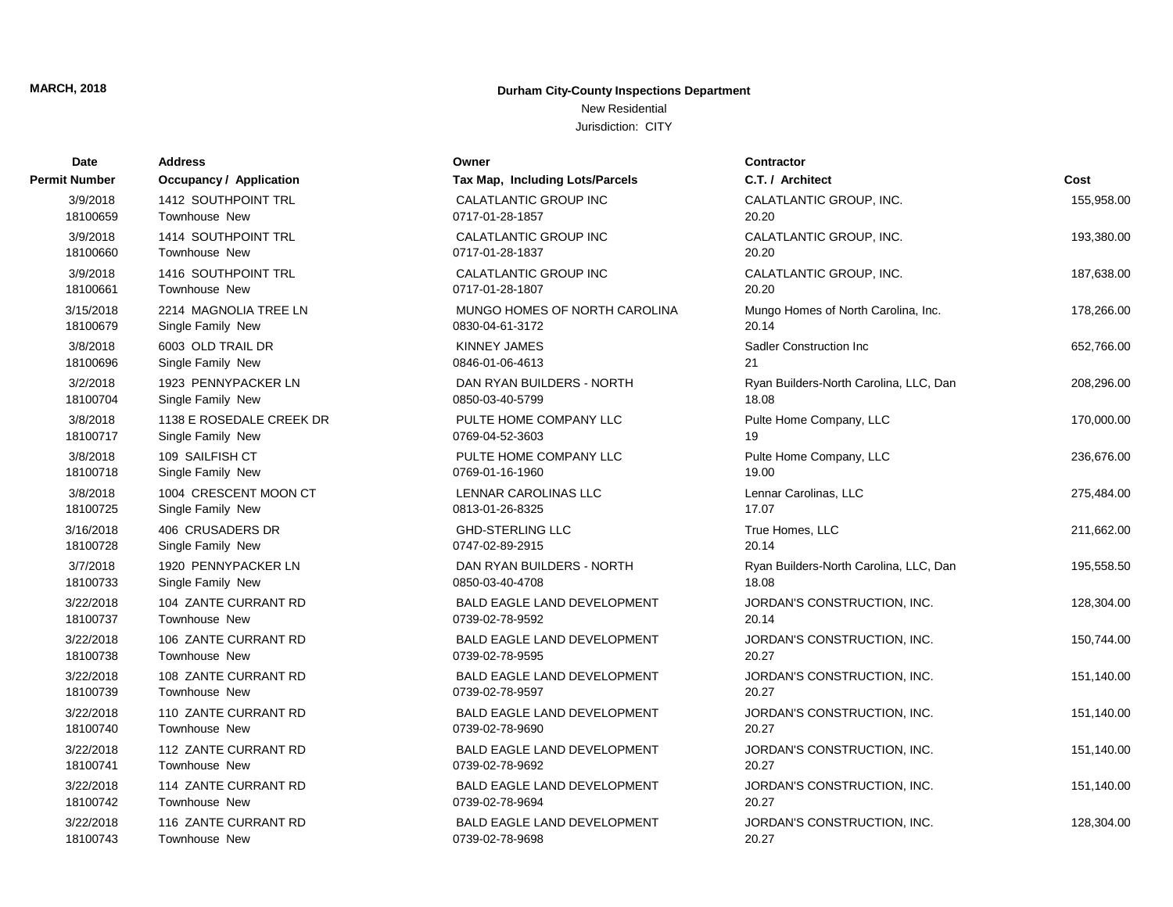# New Residential

| Date          | <b>Address</b>           | Owner                              | <b>Contractor</b>                      |            |
|---------------|--------------------------|------------------------------------|----------------------------------------|------------|
| Permit Number | Occupancy / Application  | Tax Map, Including Lots/Parcels    | C.T. / Architect                       | Cost       |
| 3/9/2018      | 1412 SOUTHPOINT TRL      | CALATLANTIC GROUP INC              | CALATLANTIC GROUP, INC.                | 155,958.00 |
| 18100659      | <b>Townhouse New</b>     | 0717-01-28-1857                    | 20.20                                  |            |
| 3/9/2018      | 1414 SOUTHPOINT TRL      | <b>CALATLANTIC GROUP INC</b>       | CALATLANTIC GROUP, INC.                | 193,380.00 |
| 18100660      | Townhouse New            | 0717-01-28-1837                    | 20.20                                  |            |
| 3/9/2018      | 1416 SOUTHPOINT TRL      | <b>CALATLANTIC GROUP INC</b>       | CALATLANTIC GROUP, INC.                | 187,638.00 |
| 18100661      | <b>Townhouse New</b>     | 0717-01-28-1807                    | 20.20                                  |            |
| 3/15/2018     | 2214 MAGNOLIA TREE LN    | MUNGO HOMES OF NORTH CAROLINA      | Mungo Homes of North Carolina, Inc.    | 178,266.00 |
| 18100679      | Single Family New        | 0830-04-61-3172                    | 20.14                                  |            |
| 3/8/2018      | 6003 OLD TRAIL DR        | <b>KINNEY JAMES</b>                | <b>Sadler Construction Inc.</b>        | 652,766.00 |
| 18100696      | Single Family New        | 0846-01-06-4613                    | 21                                     |            |
| 3/2/2018      | 1923 PENNYPACKER LN      | DAN RYAN BUILDERS - NORTH          | Ryan Builders-North Carolina, LLC, Dan | 208,296.00 |
| 18100704      | Single Family New        | 0850-03-40-5799                    | 18.08                                  |            |
| 3/8/2018      | 1138 E ROSEDALE CREEK DR | PULTE HOME COMPANY LLC             | Pulte Home Company, LLC                | 170,000.00 |
| 18100717      | Single Family New        | 0769-04-52-3603                    | 19                                     |            |
| 3/8/2018      | 109 SAILFISH CT          | PULTE HOME COMPANY LLC             | Pulte Home Company, LLC                | 236,676.00 |
| 18100718      | Single Family New        | 0769-01-16-1960                    | 19.00                                  |            |
| 3/8/2018      | 1004 CRESCENT MOON CT    | <b>LENNAR CAROLINAS LLC</b>        | Lennar Carolinas, LLC                  | 275,484.00 |
| 18100725      | Single Family New        | 0813-01-26-8325                    | 17.07                                  |            |
| 3/16/2018     | 406 CRUSADERS DR         | <b>GHD-STERLING LLC</b>            | True Homes, LLC                        | 211,662.00 |
| 18100728      | Single Family New        | 0747-02-89-2915                    | 20.14                                  |            |
| 3/7/2018      | 1920 PENNYPACKER LN      | DAN RYAN BUILDERS - NORTH          | Ryan Builders-North Carolina, LLC, Dan | 195,558.50 |
| 18100733      | Single Family New        | 0850-03-40-4708                    | 18.08                                  |            |
| 3/22/2018     | 104 ZANTE CURRANT RD     | <b>BALD EAGLE LAND DEVELOPMENT</b> | JORDAN'S CONSTRUCTION, INC.            | 128,304.00 |
| 18100737      | <b>Townhouse New</b>     | 0739-02-78-9592                    | 20.14                                  |            |
| 3/22/2018     | 106 ZANTE CURRANT RD     | <b>BALD EAGLE LAND DEVELOPMENT</b> | JORDAN'S CONSTRUCTION, INC.            | 150,744.00 |
| 18100738      | <b>Townhouse New</b>     | 0739-02-78-9595                    | 20.27                                  |            |
| 3/22/2018     | 108 ZANTE CURRANT RD     | <b>BALD EAGLE LAND DEVELOPMENT</b> | JORDAN'S CONSTRUCTION, INC.            | 151,140.00 |
| 18100739      | <b>Townhouse New</b>     | 0739-02-78-9597                    | 20.27                                  |            |
| 3/22/2018     | 110 ZANTE CURRANT RD     | <b>BALD EAGLE LAND DEVELOPMENT</b> | JORDAN'S CONSTRUCTION, INC.            | 151,140.00 |
| 18100740      | Townhouse New            | 0739-02-78-9690                    | 20.27                                  |            |
| 3/22/2018     | 112 ZANTE CURRANT RD     | BALD EAGLE LAND DEVELOPMENT        | JORDAN'S CONSTRUCTION, INC.            | 151,140.00 |
| 18100741      | <b>Townhouse New</b>     | 0739-02-78-9692                    | 20.27                                  |            |
| 3/22/2018     | 114 ZANTE CURRANT RD     | BALD EAGLE LAND DEVELOPMENT        | JORDAN'S CONSTRUCTION, INC.            | 151,140.00 |
| 18100742      | <b>Townhouse New</b>     | 0739-02-78-9694                    | 20.27                                  |            |
| 3/22/2018     | 116 ZANTE CURRANT RD     | <b>BALD EAGLE LAND DEVELOPMENT</b> | JORDAN'S CONSTRUCTION, INC.            | 128,304.00 |
| 18100743      | Townhouse New            | 0739-02-78-9698                    | 20.27                                  |            |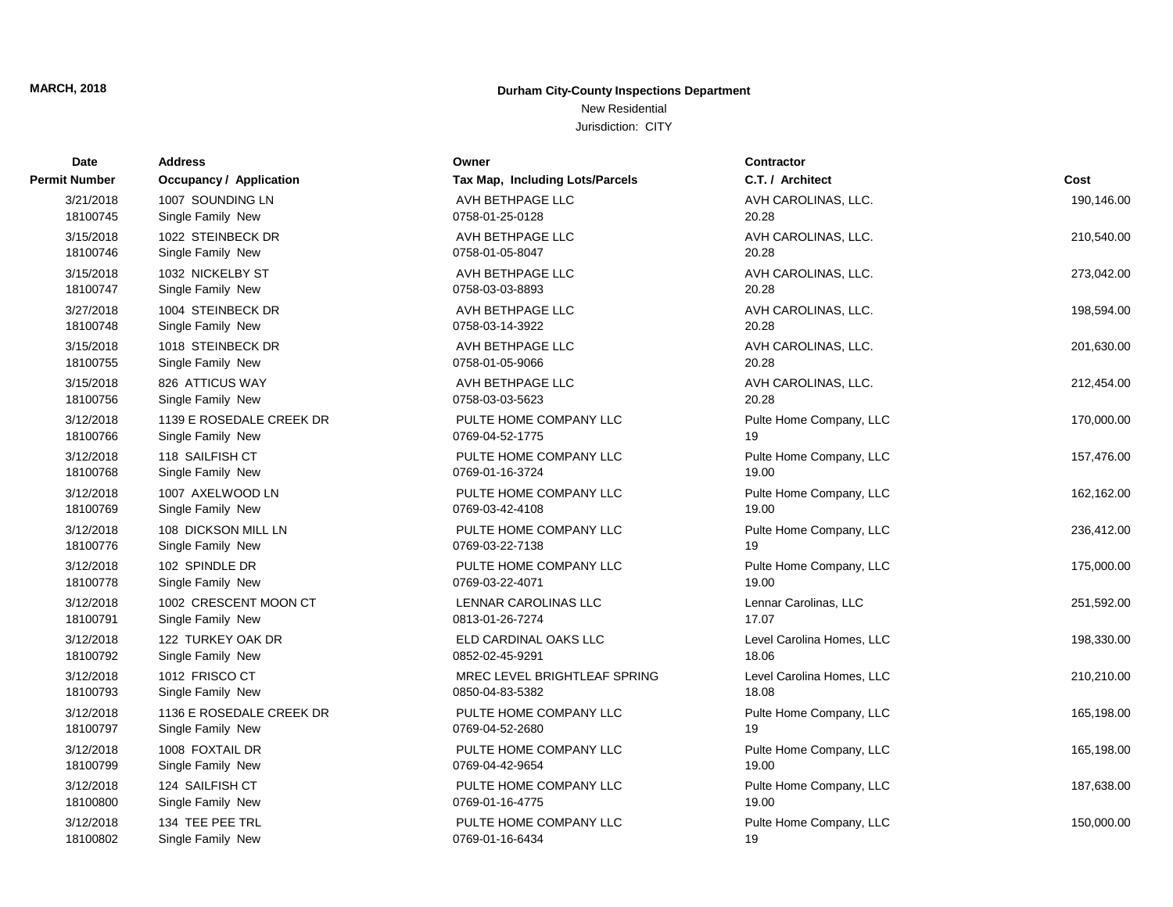## New Residential

| <b>Date</b>   | Address                        | Owner                           | <b>Contractor</b>         |            |
|---------------|--------------------------------|---------------------------------|---------------------------|------------|
| Permit Number | <b>Occupancy / Application</b> | Tax Map, Including Lots/Parcels | C.T. / Architect          | Cost       |
| 3/21/2018     | 1007 SOUNDING LN               | AVH BETHPAGE LLC                | AVH CAROLINAS, LLC.       | 190,146.00 |
| 18100745      | Single Family New              | 0758-01-25-0128                 | 20.28                     |            |
| 3/15/2018     | 1022 STEINBECK DR              | AVH BETHPAGE LLC                | AVH CAROLINAS, LLC.       | 210,540.00 |
| 18100746      | Single Family New              | 0758-01-05-8047                 | 20.28                     |            |
| 3/15/2018     | 1032 NICKELBY ST               | AVH BETHPAGE LLC                | AVH CAROLINAS, LLC.       | 273,042.00 |
| 18100747      | Single Family New              | 0758-03-03-8893                 | 20.28                     |            |
| 3/27/2018     | 1004 STEINBECK DR              | AVH BETHPAGE LLC                | AVH CAROLINAS, LLC.       | 198,594.00 |
| 18100748      | Single Family New              | 0758-03-14-3922                 | 20.28                     |            |
| 3/15/2018     | 1018 STEINBECK DR              | AVH BETHPAGE LLC                | AVH CAROLINAS, LLC.       | 201,630.00 |
| 18100755      | Single Family New              | 0758-01-05-9066                 | 20.28                     |            |
| 3/15/2018     | 826 ATTICUS WAY                | AVH BETHPAGE LLC                | AVH CAROLINAS, LLC.       | 212,454.00 |
| 18100756      | Single Family New              | 0758-03-03-5623                 | 20.28                     |            |
| 3/12/2018     | 1139 E ROSEDALE CREEK DR       | PULTE HOME COMPANY LLC          | Pulte Home Company, LLC   | 170,000.00 |
| 18100766      | Single Family New              | 0769-04-52-1775                 | 19                        |            |
| 3/12/2018     | 118 SAILFISH CT                | PULTE HOME COMPANY LLC          | Pulte Home Company, LLC   | 157,476.00 |
| 18100768      | Single Family New              | 0769-01-16-3724                 | 19.00                     |            |
| 3/12/2018     | 1007 AXELWOOD LN               | PULTE HOME COMPANY LLC          | Pulte Home Company, LLC   | 162,162.00 |
| 18100769      | Single Family New              | 0769-03-42-4108                 | 19.00                     |            |
| 3/12/2018     | 108 DICKSON MILL LN            | PULTE HOME COMPANY LLC          | Pulte Home Company, LLC   | 236,412.00 |
| 18100776      | Single Family New              | 0769-03-22-7138                 | 19                        |            |
| 3/12/2018     | 102 SPINDLE DR                 | PULTE HOME COMPANY LLC          | Pulte Home Company, LLC   | 175,000.00 |
| 18100778      | Single Family New              | 0769-03-22-4071                 | 19.00                     |            |
| 3/12/2018     | 1002 CRESCENT MOON CT          | LENNAR CAROLINAS LLC            | Lennar Carolinas, LLC     | 251,592.00 |
| 18100791      | Single Family New              | 0813-01-26-7274                 | 17.07                     |            |
| 3/12/2018     | 122 TURKEY OAK DR              | ELD CARDINAL OAKS LLC           | Level Carolina Homes, LLC | 198,330.00 |
| 18100792      | Single Family New              | 0852-02-45-9291                 | 18.06                     |            |
| 3/12/2018     | 1012 FRISCO CT                 | MREC LEVEL BRIGHTLEAF SPRING    | Level Carolina Homes, LLC | 210,210.00 |
| 18100793      | Single Family New              | 0850-04-83-5382                 | 18.08                     |            |
| 3/12/2018     | 1136 E ROSEDALE CREEK DR       | PULTE HOME COMPANY LLC          | Pulte Home Company, LLC   | 165,198.00 |
| 18100797      | Single Family New              | 0769-04-52-2680                 | 19                        |            |
| 3/12/2018     | 1008 FOXTAIL DR                | PULTE HOME COMPANY LLC          | Pulte Home Company, LLC   | 165,198.00 |
| 18100799      | Single Family New              | 0769-04-42-9654                 | 19.00                     |            |
| 3/12/2018     | 124 SAILFISH CT                | PULTE HOME COMPANY LLC          | Pulte Home Company, LLC   | 187,638.00 |
| 18100800      | Single Family New              | 0769-01-16-4775                 | 19.00                     |            |
| 3/12/2018     | 134 TEE PEE TRL                | PULTE HOME COMPANY LLC          | Pulte Home Company, LLC   | 150,000.00 |
| 18100802      | Single Family New              | 0769-01-16-6434                 | 19                        |            |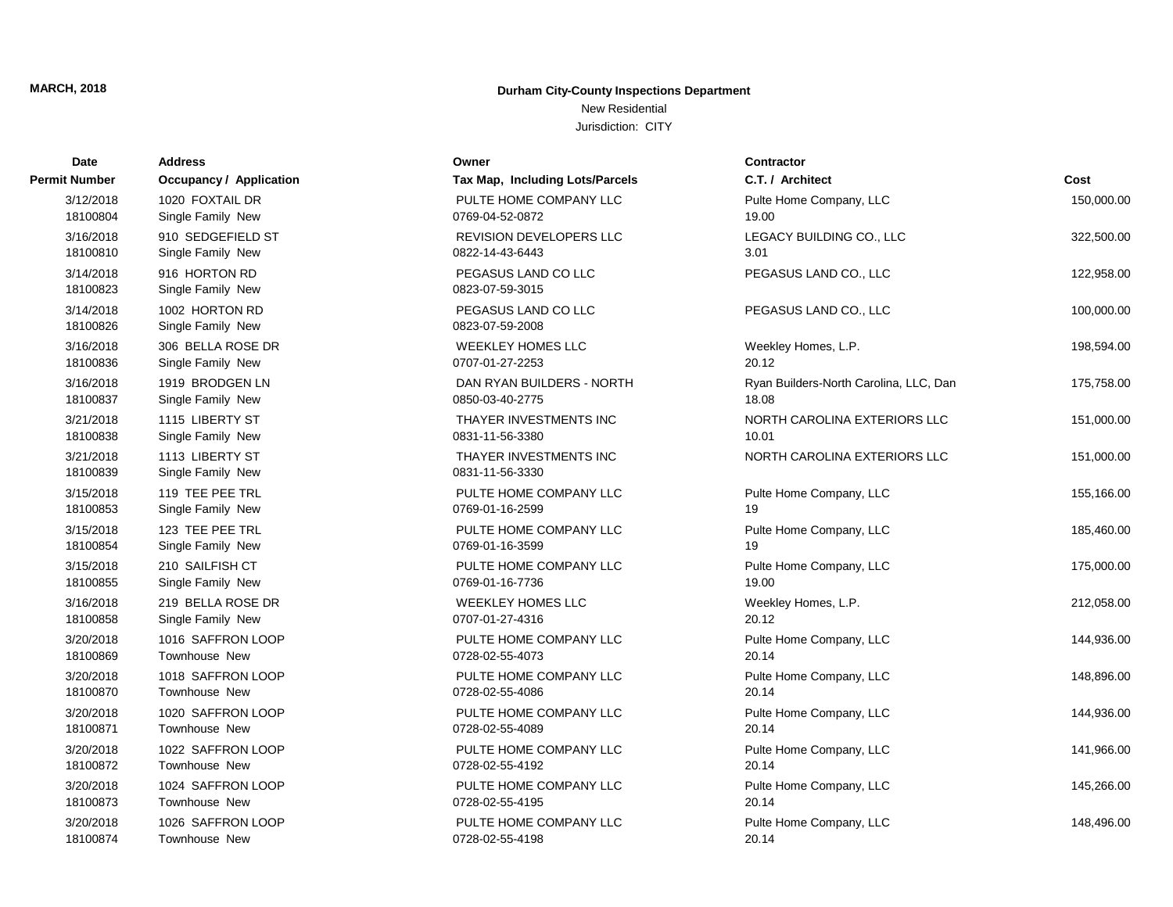## New Residential

| Date                  | Address                              | Owner                                     | <b>Contractor</b>                      |            |
|-----------------------|--------------------------------------|-------------------------------------------|----------------------------------------|------------|
| Permit Number         | <b>Occupancy / Application</b>       | Tax Map, Including Lots/Parcels           | C.T. / Architect                       | Cost       |
| 3/12/2018             | 1020 FOXTAIL DR                      | PULTE HOME COMPANY LLC                    | Pulte Home Company, LLC                | 150,000.00 |
| 18100804              | Single Family New                    | 0769-04-52-0872                           | 19.00                                  |            |
| 3/16/2018             | 910 SEDGEFIELD ST                    | REVISION DEVELOPERS LLC                   | LEGACY BUILDING CO., LLC               | 322,500.00 |
| 18100810              | Single Family New                    | 0822-14-43-6443                           | 3.01                                   |            |
| 3/14/2018<br>18100823 | 916 HORTON RD<br>Single Family New   | PEGASUS LAND CO LLC<br>0823-07-59-3015    | PEGASUS LAND CO., LLC                  | 122,958.00 |
| 3/14/2018<br>18100826 | 1002 HORTON RD<br>Single Family New  | PEGASUS LAND CO LLC<br>0823-07-59-2008    | PEGASUS LAND CO., LLC                  | 100,000.00 |
| 3/16/2018             | 306 BELLA ROSE DR                    | <b>WEEKLEY HOMES LLC</b>                  | Weekley Homes, L.P.                    | 198,594.00 |
| 18100836              | Single Family New                    | 0707-01-27-2253                           | 20.12                                  |            |
| 3/16/2018             | 1919 BRODGEN LN                      | DAN RYAN BUILDERS - NORTH                 | Ryan Builders-North Carolina, LLC, Dan | 175,758.00 |
| 18100837              | Single Family New                    | 0850-03-40-2775                           | 18.08                                  |            |
| 3/21/2018             | 1115 LIBERTY ST                      | THAYER INVESTMENTS INC                    | NORTH CAROLINA EXTERIORS LLC           | 151,000.00 |
| 18100838              | Single Family New                    | 0831-11-56-3380                           | 10.01                                  |            |
| 3/21/2018<br>18100839 | 1113 LIBERTY ST<br>Single Family New | THAYER INVESTMENTS INC<br>0831-11-56-3330 | NORTH CAROLINA EXTERIORS LLC           | 151,000.00 |
| 3/15/2018             | 119 TEE PEE TRL                      | PULTE HOME COMPANY LLC                    | Pulte Home Company, LLC                | 155,166.00 |
| 18100853              | Single Family New                    | 0769-01-16-2599                           | 19                                     |            |
| 3/15/2018             | 123 TEE PEE TRL                      | PULTE HOME COMPANY LLC                    | Pulte Home Company, LLC                | 185,460.00 |
| 18100854              | Single Family New                    | 0769-01-16-3599                           | 19                                     |            |
| 3/15/2018             | 210 SAILFISH CT                      | PULTE HOME COMPANY LLC                    | Pulte Home Company, LLC                | 175,000.00 |
| 18100855              | Single Family New                    | 0769-01-16-7736                           | 19.00                                  |            |
| 3/16/2018             | 219 BELLA ROSE DR                    | <b>WEEKLEY HOMES LLC</b>                  | Weekley Homes, L.P.                    | 212,058.00 |
| 18100858              | Single Family New                    | 0707-01-27-4316                           | 20.12                                  |            |
| 3/20/2018             | 1016 SAFFRON LOOP                    | PULTE HOME COMPANY LLC                    | Pulte Home Company, LLC                | 144,936.00 |
| 18100869              | Townhouse New                        | 0728-02-55-4073                           | 20.14                                  |            |
| 3/20/2018             | 1018 SAFFRON LOOP                    | PULTE HOME COMPANY LLC                    | Pulte Home Company, LLC                | 148,896.00 |
| 18100870              | Townhouse New                        | 0728-02-55-4086                           | 20.14                                  |            |
| 3/20/2018             | 1020 SAFFRON LOOP                    | PULTE HOME COMPANY LLC                    | Pulte Home Company, LLC                | 144,936.00 |
| 18100871              | Townhouse New                        | 0728-02-55-4089                           | 20.14                                  |            |
| 3/20/2018             | 1022 SAFFRON LOOP                    | PULTE HOME COMPANY LLC                    | Pulte Home Company, LLC                | 141,966.00 |
| 18100872              | Townhouse New                        | 0728-02-55-4192                           | 20.14                                  |            |
| 3/20/2018             | 1024 SAFFRON LOOP                    | PULTE HOME COMPANY LLC                    | Pulte Home Company, LLC                | 145,266.00 |
| 18100873              | Townhouse New                        | 0728-02-55-4195                           | 20.14                                  |            |
| 3/20/2018             | 1026 SAFFRON LOOP                    | PULTE HOME COMPANY LLC                    | Pulte Home Company, LLC                | 148,496.00 |
| 18100874              | Townhouse New                        | 0728-02-55-4198                           | 20.14                                  |            |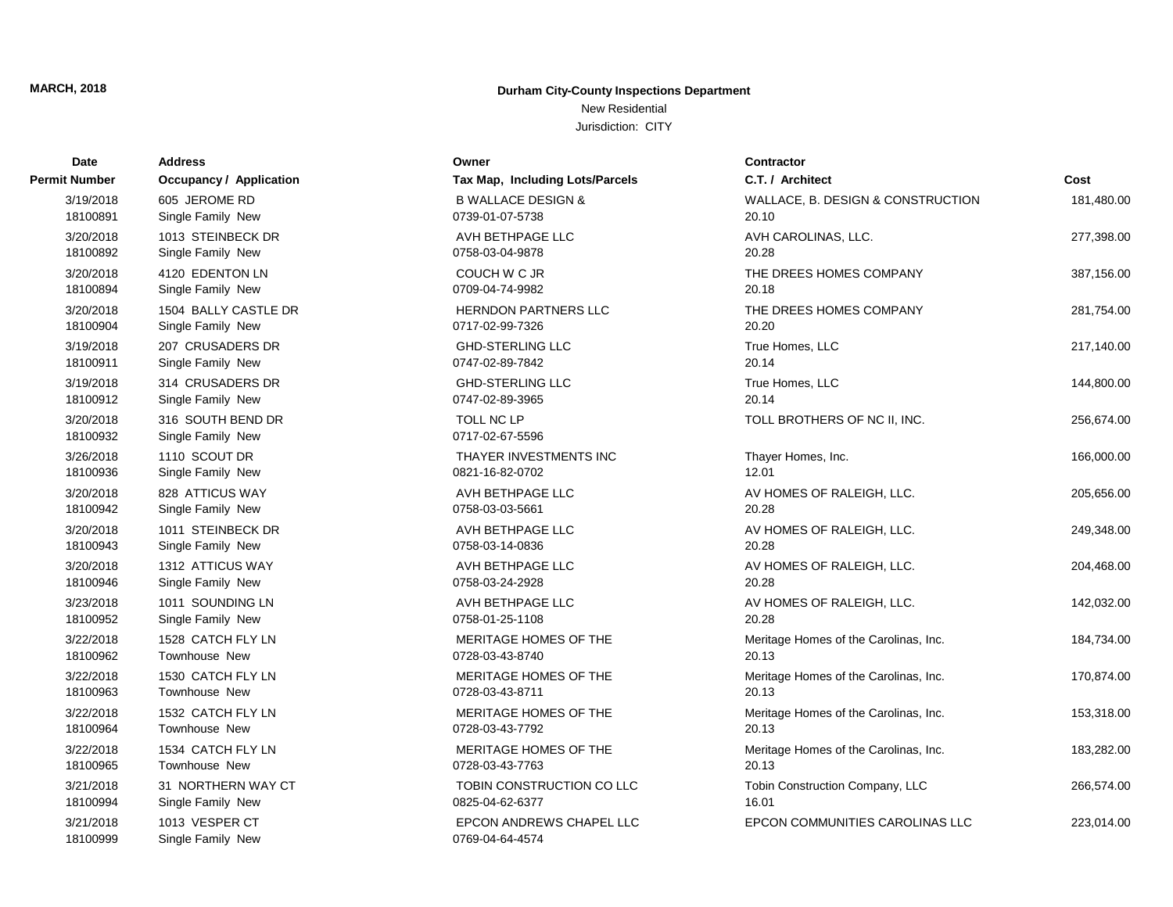New Residential

| Date                  | <b>Address</b>                         | Owner                                              | <b>Contractor</b>                     |            |
|-----------------------|----------------------------------------|----------------------------------------------------|---------------------------------------|------------|
| Permit Number         | Occupancy / Application                | Tax Map, Including Lots/Parcels                    | C.T. / Architect                      | Cost       |
| 3/19/2018             | 605 JEROME RD                          | <b>B WALLACE DESIGN &amp;</b>                      | WALLACE, B. DESIGN & CONSTRUCTION     | 181,480.00 |
| 18100891              | Single Family New                      | 0739-01-07-5738                                    | 20.10                                 |            |
| 3/20/2018             | 1013 STEINBECK DR                      | AVH BETHPAGE LLC                                   | AVH CAROLINAS, LLC.                   | 277,398.00 |
| 18100892              | Single Family New                      | 0758-03-04-9878                                    | 20.28                                 |            |
| 3/20/2018             | 4120 EDENTON LN                        | COUCH W C JR                                       | THE DREES HOMES COMPANY               | 387,156.00 |
| 18100894              | Single Family New                      | 0709-04-74-9982                                    | 20.18                                 |            |
| 3/20/2018             | 1504 BALLY CASTLE DR                   | <b>HERNDON PARTNERS LLC</b>                        | THE DREES HOMES COMPANY               | 281,754.00 |
| 18100904              | Single Family New                      | 0717-02-99-7326                                    | 20.20                                 |            |
| 3/19/2018             | 207 CRUSADERS DR                       | <b>GHD-STERLING LLC</b>                            | True Homes, LLC                       | 217,140.00 |
| 18100911              | Single Family New                      | 0747-02-89-7842                                    | 20.14                                 |            |
| 3/19/2018             | 314 CRUSADERS DR                       | <b>GHD-STERLING LLC</b>                            | True Homes, LLC                       | 144,800.00 |
| 18100912              | Single Family New                      | 0747-02-89-3965                                    | 20.14                                 |            |
| 3/20/2018<br>18100932 | 316 SOUTH BEND DR<br>Single Family New | <b>TOLL NC LP</b><br>0717-02-67-5596               | TOLL BROTHERS OF NC II, INC.          | 256,674.00 |
| 3/26/2018             | 1110 SCOUT DR                          | THAYER INVESTMENTS INC                             | Thayer Homes, Inc.                    | 166,000.00 |
| 18100936              | Single Family New                      | 0821-16-82-0702                                    | 12.01                                 |            |
| 3/20/2018             | 828 ATTICUS WAY                        | AVH BETHPAGE LLC                                   | AV HOMES OF RALEIGH, LLC.             | 205,656.00 |
| 18100942              | Single Family New                      | 0758-03-03-5661                                    | 20.28                                 |            |
| 3/20/2018             | 1011 STEINBECK DR                      | AVH BETHPAGE LLC                                   | AV HOMES OF RALEIGH, LLC.             | 249,348.00 |
| 18100943              | Single Family New                      | 0758-03-14-0836                                    | 20.28                                 |            |
| 3/20/2018             | 1312 ATTICUS WAY                       | AVH BETHPAGE LLC                                   | AV HOMES OF RALEIGH, LLC.             | 204,468.00 |
| 18100946              | Single Family New                      | 0758-03-24-2928                                    | 20.28                                 |            |
| 3/23/2018             | 1011 SOUNDING LN                       | AVH BETHPAGE LLC                                   | AV HOMES OF RALEIGH, LLC.             | 142,032.00 |
| 18100952              | Single Family New                      | 0758-01-25-1108                                    | 20.28                                 |            |
| 3/22/2018             | 1528 CATCH FLY LN                      | MERITAGE HOMES OF THE                              | Meritage Homes of the Carolinas, Inc. | 184,734.00 |
| 18100962              | Townhouse New                          | 0728-03-43-8740                                    | 20.13                                 |            |
| 3/22/2018             | 1530 CATCH FLY LN                      | MERITAGE HOMES OF THE                              | Meritage Homes of the Carolinas, Inc. | 170,874.00 |
| 18100963              | Townhouse New                          | 0728-03-43-8711                                    | 20.13                                 |            |
| 3/22/2018             | 1532 CATCH FLY LN                      | MERITAGE HOMES OF THE                              | Meritage Homes of the Carolinas, Inc. | 153,318.00 |
| 18100964              | Townhouse New                          | 0728-03-43-7792                                    | 20.13                                 |            |
| 3/22/2018             | 1534 CATCH FLY LN                      | MERITAGE HOMES OF THE                              | Meritage Homes of the Carolinas, Inc. | 183,282.00 |
| 18100965              | <b>Townhouse New</b>                   | 0728-03-43-7763                                    | 20.13                                 |            |
| 3/21/2018             | 31 NORTHERN WAY CT                     | TOBIN CONSTRUCTION CO LLC                          | Tobin Construction Company, LLC       | 266,574.00 |
| 18100994              | Single Family New                      | 0825-04-62-6377                                    | 16.01                                 |            |
| 3/21/2018<br>18100999 | 1013 VESPER CT<br>Single Family New    | <b>EPCON ANDREWS CHAPEL LLC</b><br>0769-04-64-4574 | EPCON COMMUNITIES CAROLINAS LLC       | 223,014.00 |